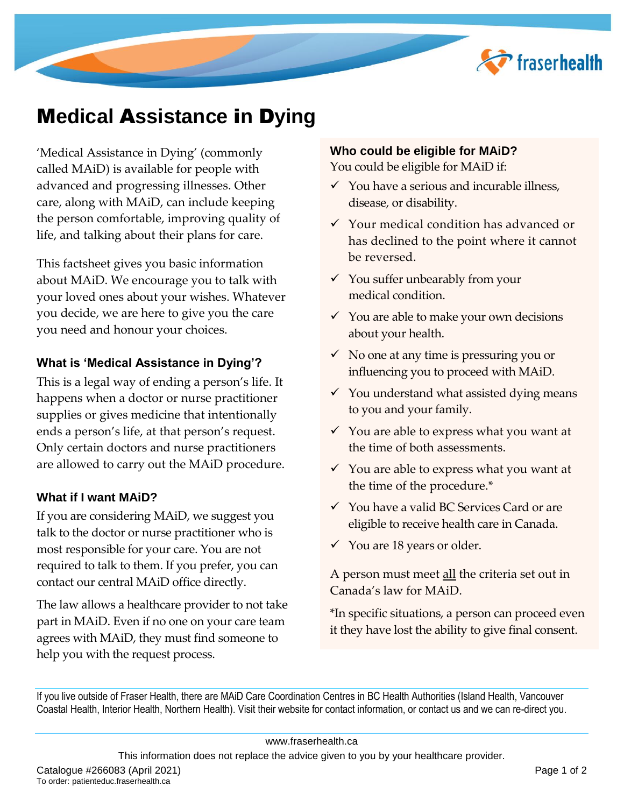

# M**edical** A**ssistance** i**n** D**ying**

'Medical Assistance in Dying' (commonly called MAiD) is available for people with advanced and progressing illnesses. Other care, along with MAiD, can include keeping the person comfortable, improving quality of life, and talking about their plans for care.

This factsheet gives you basic information about MAiD. We encourage you to talk with your loved ones about your wishes. Whatever you decide, we are here to give you the care you need and honour your choices.

#### **What is 'Medical Assistance in Dying'?**

This is a legal way of ending a person's life. It happens when a doctor or nurse practitioner supplies or gives medicine that intentionally ends a person's life, at that person's request. Only certain doctors and nurse practitioners are allowed to carry out the MAiD procedure.

#### **What if I want MAiD?**

If you are considering MAiD, we suggest you talk to the doctor or nurse practitioner who is most responsible for your care. You are not required to talk to them. If you prefer, you can contact our central MAiD office directly.

The law allows a healthcare provider to not take part in MAiD. Even if no one on your care team agrees with MAiD, they must find someone to help you with the request process.

#### **Who could be eligible for MAiD?**

You could be eligible for MAiD if:

- $\checkmark$  You have a serious and incurable illness, disease, or disability.
- $\checkmark$  Your medical condition has advanced or has declined to the point where it cannot be reversed.
- $\checkmark$  You suffer unbearably from your medical condition.
- $\checkmark$  You are able to make your own decisions about your health.
- $\checkmark$  No one at any time is pressuring you or influencing you to proceed with MAiD.
- $\checkmark$  You understand what assisted dying means to you and your family.
- $\checkmark$  You are able to express what you want at the time of both assessments.
- $\checkmark$  You are able to express what you want at the time of the procedure.\*
- $\checkmark$  You have a valid BC Services Card or are eligible to receive health care in Canada.
- You are 18 years or older.

A person must meet all the criteria set out in Canada's law for MAiD.

\*In specific situations, a person can proceed even it they have lost the ability to give final consent.

If you live outside of Fraser Health, there are MAiD Care Coordination Centres in BC Health Authorities (Island Health, Vancouver Coastal Health, Interior Health, Northern Health). Visit their website for contact information, or contact us and we can re-direct you.

This information does not replace the advice given to you by your healthcare provider.